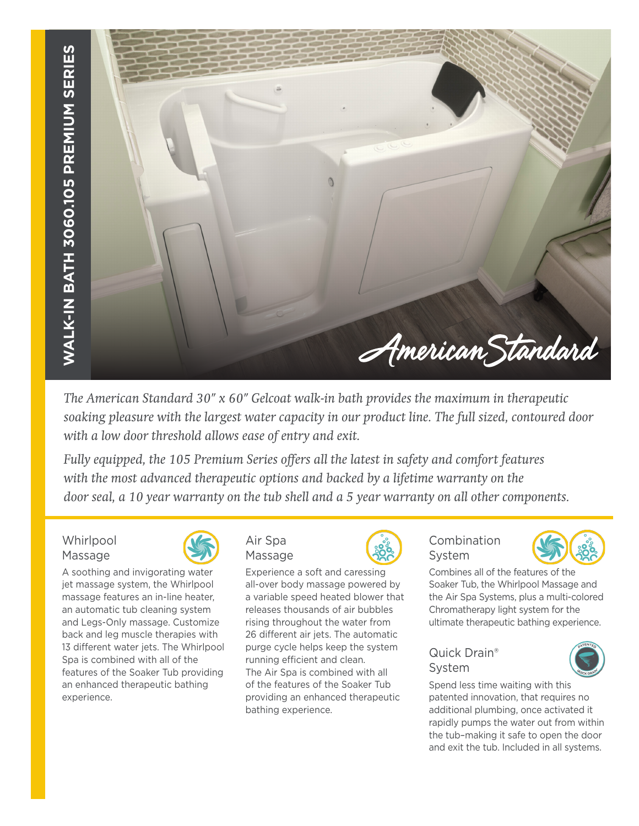

*The American Standard 30" x 60" Gelcoat walk-in bath provides the maximum in therapeutic soaking pleasure with the largest water capacity in our product line. The full sized, contoured door with a low door threshold allows ease of entry and exit.* 

*Fully equipped, the 105 Premium Series offers all the latest in safety and comfort features with the most advanced therapeutic options and backed by a lifetime warranty on the door seal, a 10 year warranty on the tub shell and a 5 year warranty on all other components.*

**Whirlpool** Massage



A soothing and invigorating water jet massage system, the Whirlpool massage features an in-line heater, an automatic tub cleaning system and Legs-Only massage. Customize back and leg muscle therapies with 13 different water jets. The Whirlpool Spa is combined with all of the features of the Soaker Tub providing an enhanced therapeutic bathing experience.



Experience a soft and caressing all-over body massage powered by a variable speed heated blower that releases thousands of air bubbles rising throughout the water from 26 different air jets. The automatic purge cycle helps keep the system running efficient and clean. The Air Spa is combined with all of the features of the Soaker Tub providing an enhanced therapeutic

bathing experience.



### Combination System



Combines all of the features of the Soaker Tub, the Whirlpool Massage and the Air Spa Systems, plus a multi-colored Chromatherapy light system for the ultimate therapeutic bathing experience.

### Quick Drain® System



Spend less time waiting with this patented innovation, that requires no additional plumbing, once activated it rapidly pumps the water out from within the tub–making it safe to open the door and exit the tub. Included in all systems.